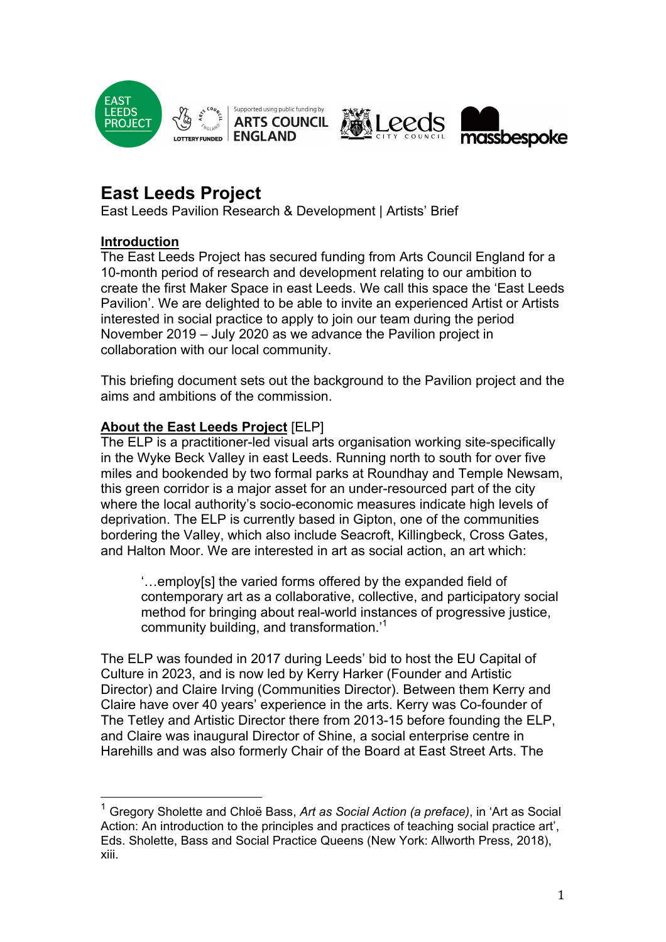





# **East Leeds Project**

East Leeds Pavilion Research & Development | Artists' Brief

# **Introduction**

The East Leeds Project has secured funding from Arts Council England for a 10-month period of research and development relating to our ambition to create the first Maker Space in east Leeds. We call this space the 'East Leeds Pavilion'. We are delighted to be able to invite an experienced Artist or Artists interested in social practice to apply to join our team during the period November 2019 – July 2020 as we advance the Pavilion project in collaboration with our local community.

This briefing document sets out the background to the Pavilion project and the aims and ambitions of the commission.

# **About the East Leeds Project** [ELP]

The ELP is a practitioner-led visual arts organisation working site-specifically in the Wyke Beck Valley in east Leeds. Running north to south for over five miles and bookended by two formal parks at Roundhay and Temple Newsam, this green corridor is a major asset for an under-resourced part of the city where the local authority's socio-economic measures indicate high levels of deprivation. The ELP is currently based in Gipton, one of the communities bordering the Valley, which also include Seacroft, Killingbeck, Cross Gates, and Halton Moor. We are interested in art as social action, an art which:

'…employ[s] the varied forms offered by the expanded field of contemporary art as a collaborative, collective, and participatory social method for bringing about real-world instances of progressive justice, community building, and transformation.'1

The ELP was founded in 2017 during Leeds' bid to host the EU Capital of Culture in 2023, and is now led by Kerry Harker (Founder and Artistic Director) and Claire Irving (Communities Director). Between them Kerry and Claire have over 40 years' experience in the arts. Kerry was Co-founder of The Tetley and Artistic Director there from 2013-15 before founding the ELP, and Claire was inaugural Director of Shine, a social enterprise centre in Harehills and was also formerly Chair of the Board at East Street Arts. The

 <sup>1</sup> Gregory Sholette and Chloë Bass, *Art as Social Action (a preface)*, in 'Art as Social Action: An introduction to the principles and practices of teaching social practice art', Eds. Sholette, Bass and Social Practice Queens (New York: Allworth Press, 2018), xiii.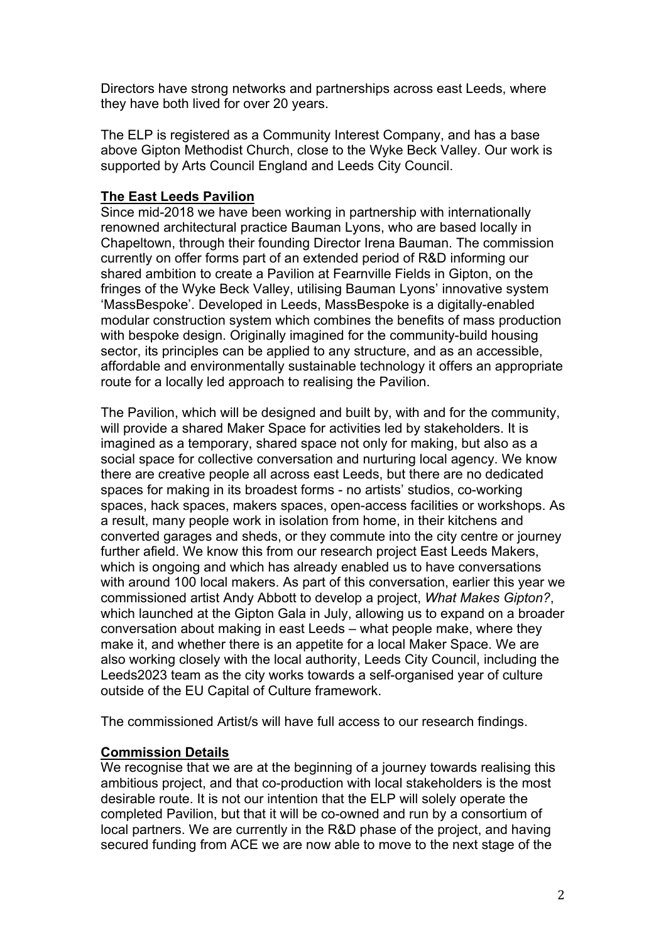Directors have strong networks and partnerships across east Leeds, where they have both lived for over 20 years.

The ELP is registered as a Community Interest Company, and has a base above Gipton Methodist Church, close to the Wyke Beck Valley. Our work is supported by Arts Council England and Leeds City Council.

# **The East Leeds Pavilion**

Since mid-2018 we have been working in partnership with internationally renowned architectural practice Bauman Lyons, who are based locally in Chapeltown, through their founding Director Irena Bauman. The commission currently on offer forms part of an extended period of R&D informing our shared ambition to create a Pavilion at Fearnville Fields in Gipton, on the fringes of the Wyke Beck Valley, utilising Bauman Lyons' innovative system 'MassBespoke'. Developed in Leeds, MassBespoke is a digitally-enabled modular construction system which combines the benefits of mass production with bespoke design. Originally imagined for the community-build housing sector, its principles can be applied to any structure, and as an accessible. affordable and environmentally sustainable technology it offers an appropriate route for a locally led approach to realising the Pavilion.

The Pavilion, which will be designed and built by, with and for the community, will provide a shared Maker Space for activities led by stakeholders. It is imagined as a temporary, shared space not only for making, but also as a social space for collective conversation and nurturing local agency. We know there are creative people all across east Leeds, but there are no dedicated spaces for making in its broadest forms - no artists' studios, co-working spaces, hack spaces, makers spaces, open-access facilities or workshops. As a result, many people work in isolation from home, in their kitchens and converted garages and sheds, or they commute into the city centre or journey further afield. We know this from our research project East Leeds Makers, which is ongoing and which has already enabled us to have conversations with around 100 local makers. As part of this conversation, earlier this year we commissioned artist Andy Abbott to develop a project, *What Makes Gipton?*, which launched at the Gipton Gala in July, allowing us to expand on a broader conversation about making in east Leeds – what people make, where they make it, and whether there is an appetite for a local Maker Space. We are also working closely with the local authority, Leeds City Council, including the Leeds2023 team as the city works towards a self-organised year of culture outside of the EU Capital of Culture framework.

The commissioned Artist/s will have full access to our research findings.

# **Commission Details**

We recognise that we are at the beginning of a journey towards realising this ambitious project, and that co-production with local stakeholders is the most desirable route. It is not our intention that the ELP will solely operate the completed Pavilion, but that it will be co-owned and run by a consortium of local partners. We are currently in the R&D phase of the project, and having secured funding from ACE we are now able to move to the next stage of the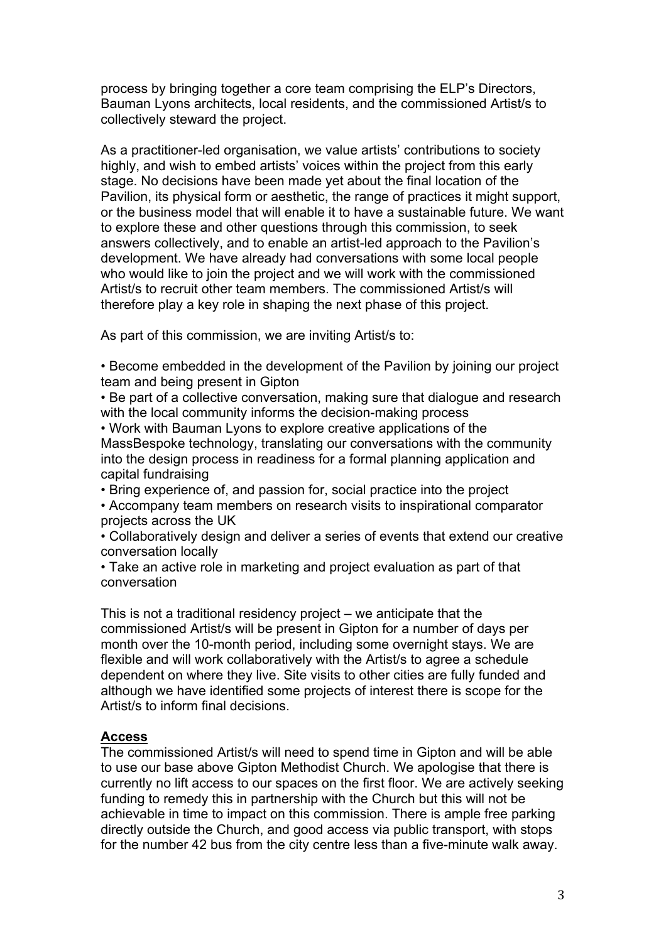process by bringing together a core team comprising the ELP's Directors, Bauman Lyons architects, local residents, and the commissioned Artist/s to collectively steward the project.

As a practitioner-led organisation, we value artists' contributions to society highly, and wish to embed artists' voices within the project from this early stage. No decisions have been made yet about the final location of the Pavilion, its physical form or aesthetic, the range of practices it might support, or the business model that will enable it to have a sustainable future. We want to explore these and other questions through this commission, to seek answers collectively, and to enable an artist-led approach to the Pavilion's development. We have already had conversations with some local people who would like to join the project and we will work with the commissioned Artist/s to recruit other team members. The commissioned Artist/s will therefore play a key role in shaping the next phase of this project.

As part of this commission, we are inviting Artist/s to:

• Become embedded in the development of the Pavilion by joining our project team and being present in Gipton

• Be part of a collective conversation, making sure that dialogue and research with the local community informs the decision-making process

• Work with Bauman Lyons to explore creative applications of the MassBespoke technology, translating our conversations with the community into the design process in readiness for a formal planning application and capital fundraising

• Bring experience of, and passion for, social practice into the project

• Accompany team members on research visits to inspirational comparator projects across the UK

• Collaboratively design and deliver a series of events that extend our creative conversation locally

• Take an active role in marketing and project evaluation as part of that conversation

This is not a traditional residency project – we anticipate that the commissioned Artist/s will be present in Gipton for a number of days per month over the 10-month period, including some overnight stays. We are flexible and will work collaboratively with the Artist/s to agree a schedule dependent on where they live. Site visits to other cities are fully funded and although we have identified some projects of interest there is scope for the Artist/s to inform final decisions.

# **Access**

The commissioned Artist/s will need to spend time in Gipton and will be able to use our base above Gipton Methodist Church. We apologise that there is currently no lift access to our spaces on the first floor. We are actively seeking funding to remedy this in partnership with the Church but this will not be achievable in time to impact on this commission. There is ample free parking directly outside the Church, and good access via public transport, with stops for the number 42 bus from the city centre less than a five-minute walk away.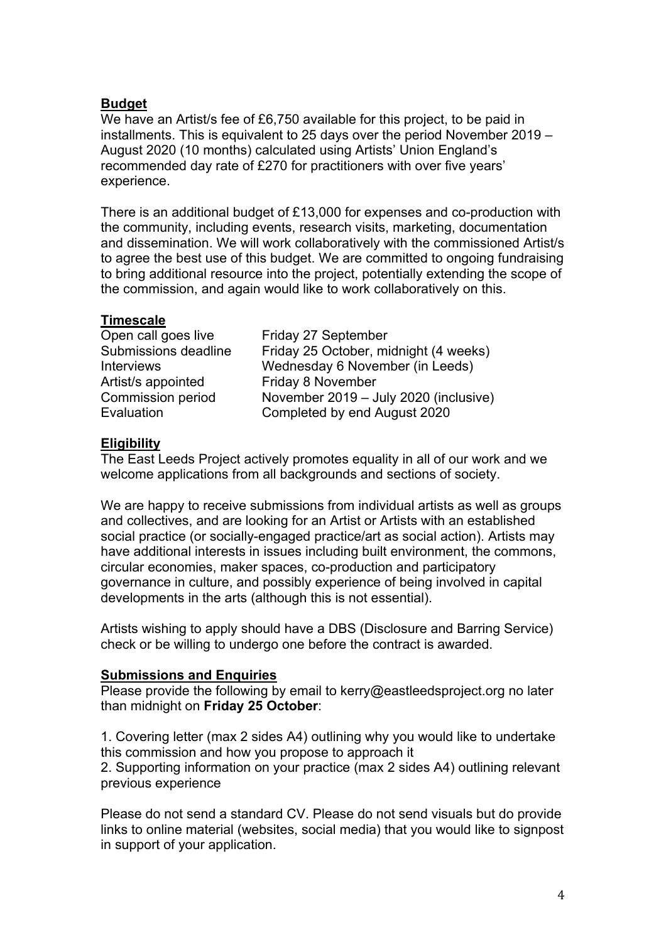# **Budget**

We have an Artist/s fee of £6,750 available for this project, to be paid in installments. This is equivalent to 25 days over the period November 2019 – August 2020 (10 months) calculated using Artists' Union England's recommended day rate of £270 for practitioners with over five years' experience.

There is an additional budget of £13,000 for expenses and co-production with the community, including events, research visits, marketing, documentation and dissemination. We will work collaboratively with the commissioned Artist/s to agree the best use of this budget. We are committed to ongoing fundraising to bring additional resource into the project, potentially extending the scope of the commission, and again would like to work collaboratively on this.

# **Timescale**

| Open call goes live      | Friday 27 September                   |
|--------------------------|---------------------------------------|
| Submissions deadline     | Friday 25 October, midnight (4 weeks) |
| <b>Interviews</b>        | Wednesday 6 November (in Leeds)       |
| Artist/s appointed       | Friday 8 November                     |
| <b>Commission period</b> | November 2019 - July 2020 (inclusive) |
| Evaluation               | Completed by end August 2020          |
|                          |                                       |

# **Eligibility**

The East Leeds Project actively promotes equality in all of our work and we welcome applications from all backgrounds and sections of society.

We are happy to receive submissions from individual artists as well as groups and collectives, and are looking for an Artist or Artists with an established social practice (or socially-engaged practice/art as social action). Artists may have additional interests in issues including built environment, the commons, circular economies, maker spaces, co-production and participatory governance in culture, and possibly experience of being involved in capital developments in the arts (although this is not essential).

Artists wishing to apply should have a DBS (Disclosure and Barring Service) check or be willing to undergo one before the contract is awarded.

# **Submissions and Enquiries**

Please provide the following by email to kerry@eastleedsproject.org no later than midnight on **Friday 25 October**:

1. Covering letter (max 2 sides A4) outlining why you would like to undertake this commission and how you propose to approach it 2. Supporting information on your practice (max 2 sides A4) outlining relevant

previous experience

Please do not send a standard CV. Please do not send visuals but do provide links to online material (websites, social media) that you would like to signpost in support of your application.